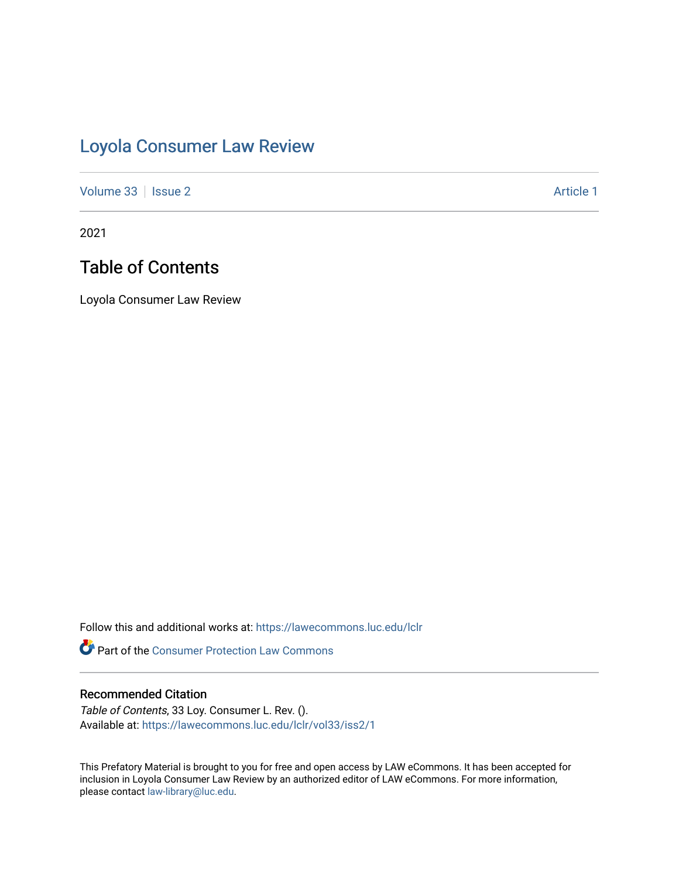# [Loyola Consumer Law Review](https://lawecommons.luc.edu/lclr)

[Volume 33](https://lawecommons.luc.edu/lclr/vol33) | [Issue 2](https://lawecommons.luc.edu/lclr/vol33/iss2) Article 1

2021

## Table of Contents

Loyola Consumer Law Review

Follow this and additional works at: [https://lawecommons.luc.edu/lclr](https://lawecommons.luc.edu/lclr?utm_source=lawecommons.luc.edu%2Flclr%2Fvol33%2Fiss2%2F1&utm_medium=PDF&utm_campaign=PDFCoverPages)

**Part of the Consumer Protection Law Commons** 

#### Recommended Citation

Table of Contents, 33 Loy. Consumer L. Rev. (). Available at: [https://lawecommons.luc.edu/lclr/vol33/iss2/1](https://lawecommons.luc.edu/lclr/vol33/iss2/1?utm_source=lawecommons.luc.edu%2Flclr%2Fvol33%2Fiss2%2F1&utm_medium=PDF&utm_campaign=PDFCoverPages) 

This Prefatory Material is brought to you for free and open access by LAW eCommons. It has been accepted for inclusion in Loyola Consumer Law Review by an authorized editor of LAW eCommons. For more information, please contact [law-library@luc.edu](mailto:law-library@luc.edu).